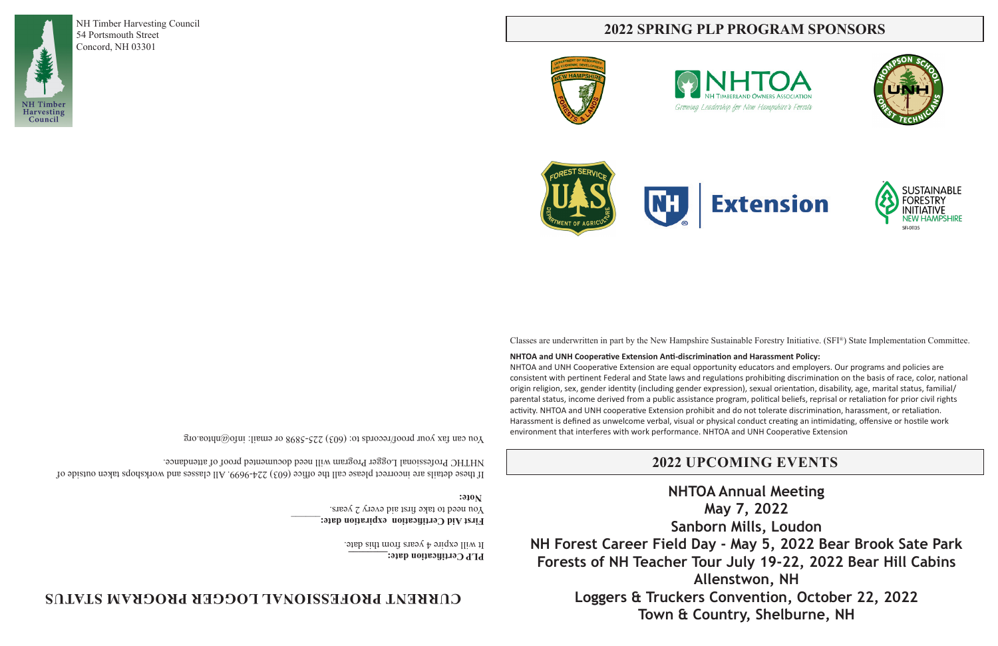NH Timber Harvesting Council

54 Portsmouth Street Concord, NH 03301

 $X$ ou can tax your proof/records to: (603) 225-5898 or email: informations  $\alpha$ 

Classes are underwritten in part by the New Hampshire Sustainable Forestry Initiative. (SFI®) State Implementation Committee.

**NHTOA and UNH Cooperative Extension Anti-discrimination and Harassment Policy:**  NHTOA and UNH Cooperative Extension are equal opportunity educators and employers. Our programs and policies are consistent with pertinent Federal and State laws and regulations prohibiting discrimination on the basis of race, color, national origin religion, sex, gender identity (including gender expression), sexual orientation, disability, age, marital status, familial/ parental status, income derived from a public assistance program, political beliefs, reprisal or retaliation for prior civil rights activity. NHTOA and UNH cooperative Extension prohibit and do not tolerate discrimination, harassment, or retaliation. Harassment is defined as unwelcome verbal, visual or physical conduct creating an intimidating, offensive or hostile work environment that interferes with work performance. NHTOA and UNH Cooperative Extension

If these details are incorrect please call the office  $(603)$  224-9699. All classes and workshops taken or incorrect please of NHTHC Professional Logger Program will need documented proof of attendance.

# **2022 SPRING PLP PROGRAM SPONSORS**







**PLP Certification date:\_\_\_\_\_\_\_\_**

It will expire 4 years from this date.

 **First Aid Certification expiration date:** You need to take first aid every 2 years. **Note:**

# **CURRENT PROFESSIONAL LOGGER PROGRAM STATUS**







# **2022 UPCOMING EVENTS**

**NHTOA Annual Meeting May 7, 2022 Sanborn Mills, Loudon NH Forest Career Field Day - May 5, 2022 Bear Brook Sate Park Forests of NH Teacher Tour July 19-22, 2022 Bear Hill Cabins Allenstwon, NH Loggers & Truckers Convention, October 22, 2022 Town & Country, Shelburne, NH**

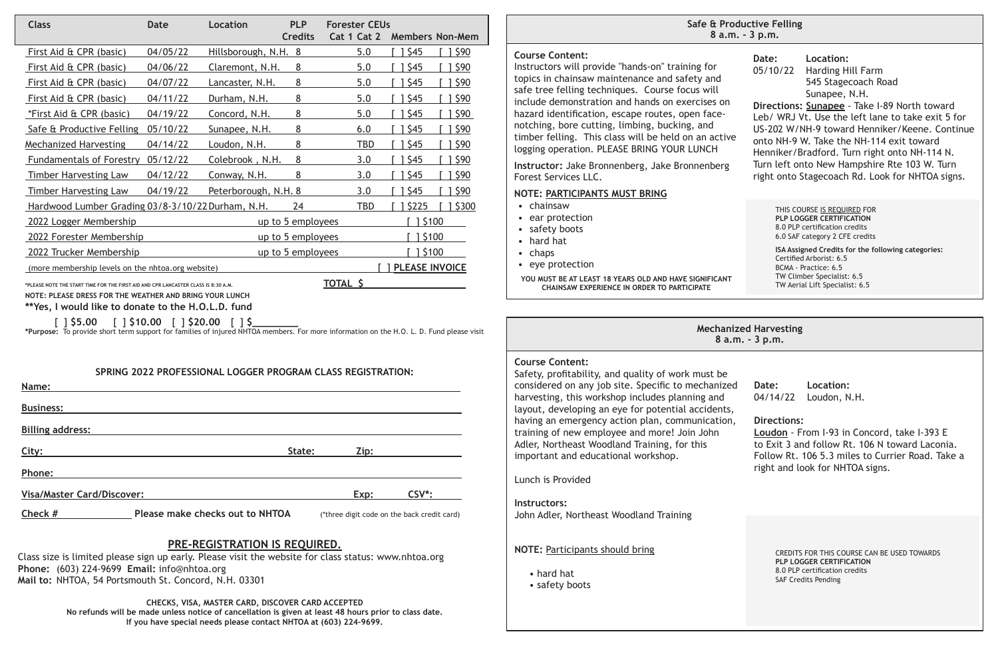# **PRE-REGISTRATION IS REQUIRED.**

Class size is limited please sign up early. Please visit the website for class status: www.nhtoa.org **Phone:** (603) 224-9699 **Email:** info@nhtoa.org **Mail to:** NHTOA, 54 Portsmouth St. Concord, N.H. 03301

> **CHECKS, VISA, MASTER CARD, DISCOVER CARD ACCEPTED No refunds will be made unless notice of cancellation is given at least 48 hours prior to class date. If you have special needs please contact NHTOA at (603) 224-9699.**

### **SPRING 2022 PROFESSIONAL LOGGER PROGRAM CLASS REGISTRATION:**

**Name:** 

| Name:                             |        |      |                    |
|-----------------------------------|--------|------|--------------------|
| <b>Business:</b>                  |        |      |                    |
| <b>Billing address:</b>           |        |      |                    |
| City:                             | State: | Zip: |                    |
| Phone:                            |        |      |                    |
| <b>Visa/Master Card/Discover:</b> |        | Exp: | CSV <sup>*</sup> : |

**Check #** Please make checks out to NHTOA (\*three digit code on the back credit card)

| <b>Class</b>                                      | <b>Date</b> | Location               | <b>PLP</b>        | <b>Forester CEUs</b> |                       |                        |
|---------------------------------------------------|-------------|------------------------|-------------------|----------------------|-----------------------|------------------------|
|                                                   |             |                        | <b>Credits</b>    | Cat 1 Cat 2          |                       | <b>Members Non-Mem</b> |
| First Aid & CPR (basic)                           | 04/05/22    | Hillsborough, N.H. 8   |                   | 5.0                  | \$45                  | \$90                   |
| First Aid & CPR (basic)                           | 04/06/22    | Claremont, N.H.        | 8                 | 5.0                  | \$45                  | \$90                   |
| First Aid & CPR (basic)                           | 04/07/22    | <u>Lancaster, N.H.</u> | 8                 | 5.0                  | \$45                  | \$90                   |
| First Aid & CPR (basic)                           | 04/11/22    | Durham, N.H.           | 8                 | 5.0                  | \$45                  | \$90                   |
| <i>*First Aid &amp; CPR (basic)</i>               | 04/19/22    | Concord, N.H.          | 8                 | 5.0                  | \$45                  | \$90                   |
| Safe & Productive Felling                         | 05/10/22    | Sunapee, N.H.          | 8                 | 6.0                  | \$45                  | 590                    |
| <b>Mechanized Harvesting</b>                      | 04/14/22    | Loudon, N.H.           | 8                 | TBD                  | \$45                  | \$90                   |
| <b>Fundamentals of Forestry</b>                   | 05/12/22    | Colebrook, N.H.        | 8                 | 3.0                  | \$45                  | \$90                   |
| <b>Timber Harvesting Law</b>                      | 04/12/22    | Conway, N.H.           | 8                 | 3.0                  | \$45                  | \$90                   |
| <b>Timber Harvesting Law</b>                      | 04/19/22    | Peterborough, N.H. 8   |                   | 3.0                  | \$45                  | \$90                   |
| Hardwood Lumber Grading 03/8-3/10/22 Durham, N.H. |             |                        | 24                | TBD                  | \$225                 | \$300                  |
| 2022 Logger Membership                            |             |                        | up to 5 employees |                      | 1 \$100               |                        |
| 2022 Forester Membership                          |             |                        | up to 5 employees |                      | \$100                 |                        |
| 2022 Trucker Membership                           |             |                        | up to 5 employees |                      | \$100                 |                        |
| (more membership levels on the nhtoa.org website) |             |                        |                   |                      | <b>PLEASE INVOICE</b> |                        |
|                                                   |             |                        |                   | TATIL C              |                       |                        |

**\*PLEASE NOTE THE START TIME FOR THE FIRST AID AND CPR LANCASTER CLASS IS 8:30 A.M. TOTAL \$ NOTE: PLEASE DRESS FOR THE WEATHER AND BRING YOUR LUNCH**

**\*\*Yes, I would like to donate to the H.O.L.D. fund**

[ ] **\$5.00** [ ] **\$10.00** [ ] **\$20.00** [ ] **\$\_\_\_\_\_\_\_\_**

**\*Purpose:** To provide short term support for families of injured NHTOA members. For more information on the H.O. L. D. Fund please visit

#### **Course Content:**

Instructors will provide "hands-on" training for topics in chainsaw maintenance and safety and safe tree felling techniques. Course focus will include demonstration and hands on exercises on hazard identification, escape routes, open facenotching, bore cutting, limbing, bucking, and timber felling. This class will be held on an active logging operation. PLEASE BRING YOUR LUNCH

| ductive Felling<br>າ. - 3 p.m. |                             |                                                                                                                                                                                                                                                                                                                                                                                                                |
|--------------------------------|-----------------------------|----------------------------------------------------------------------------------------------------------------------------------------------------------------------------------------------------------------------------------------------------------------------------------------------------------------------------------------------------------------------------------------------------------------|
|                                | Date: Location:<br>05/10/22 | Harding Hill Farm<br>545 Stagecoach Road<br>Sunapee, N.H.<br>Directions: Sunapee - Take I-89 North toward<br>Leb/ WRJ Vt. Use the left lane to take exit 5 for<br>US-202 W/NH-9 toward Henniker/Keene, Continue<br>onto NH-9 W. Take the NH-114 exit toward<br>Henniker/Bradford. Turn right onto NH-114 N.<br>Turn left onto New Hampshire Rte 103 W. Turn<br>right onto Stagecoach Rd. Look for NHTOA signs. |
|                                |                             | THIS COURSE IS REOUIRED FOR<br><b>PLP LOGGER CERTIFICATION</b><br>8.0 PLP certification credits<br>6.0 SAF category 2 CFE credits                                                                                                                                                                                                                                                                              |
|                                |                             | ISA Assigned Credits for the following categories:<br>Certified Arborist: 6.5<br>BCMA - Practice: 6.5<br>TW Climber Specialist: 6.5<br>TW Aerial Lift Specialist: 6.5                                                                                                                                                                                                                                          |

**Instructor:** Jake Bronnenberg, Jake Bronnenberg Forest Services LLC.

#### **NOTE: PARTICIPANTS MUST BRING**

- chainsaw
- ear protection
- safety boots
- hard hat
- chaps
- eye protection

**YOU MUST BE AT LEAST 18 YEARS OLD AND HAVE SIGNIFICANT CHAINSAW EXPERIENCE IN ORDER TO PARTICIPATE**

#### **Mechanized Harvesting 8 a.m. - 3 p.m.**

### **Course Content:**

Safety, profitability, and quality of work must be considered on any job site. Specific to mechanized harvesting, this workshop includes planning and layout, developing an eye for potential accidents, having an emergency action plan, communication, training of new employee and more! Join John Adler, Northeast Woodland Training, for this important and educational workshop.

Lunch is Provided

#### **Instructors:**

John Adler, Northeast Woodland Training

#### **NOTE:** Participants should bring

- hard hat
- safety boots
- **Date: Location:** 04/14/22 Loudon, N.H.
- **Directions:**

**Loudon** - From I-93 in Concord, take I-393 E to Exit 3 and follow Rt. 106 N toward Laconia. Follow Rt. 106 5.3 miles to Currier Road. Take a right and look for NHTOA signs.

> CREDITS FOR THIS COURSE CAN BE USED TOWARDS **PLP LOGGER CERTIFICATION**  8.0 PLP certification credits SAF Credits Pending